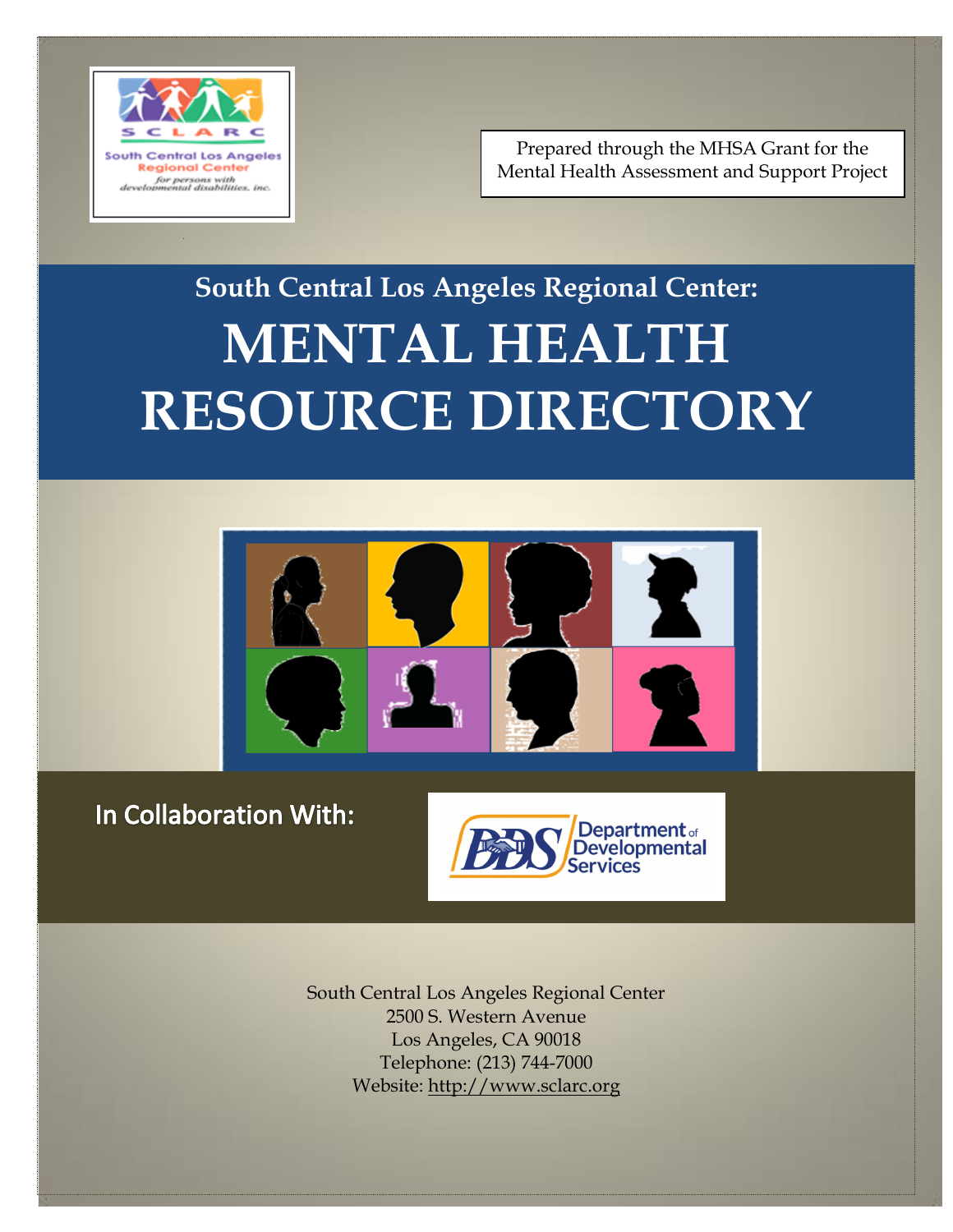

Prepared through the MHSA Grant for the Mental Health Assessment and Support Project

## **South Central Los Angeles Regional Center: MENTAL HEALTH RESOURCE DIRECTORY**



### In Collaboration With:



South Central Los Angeles Regional Center 2500 S. Western Avenue Los Angeles, CA 90018 Telephone: (213) 744-7000 Website: [http://www.sclarc.org](http://www.sclarc.org/)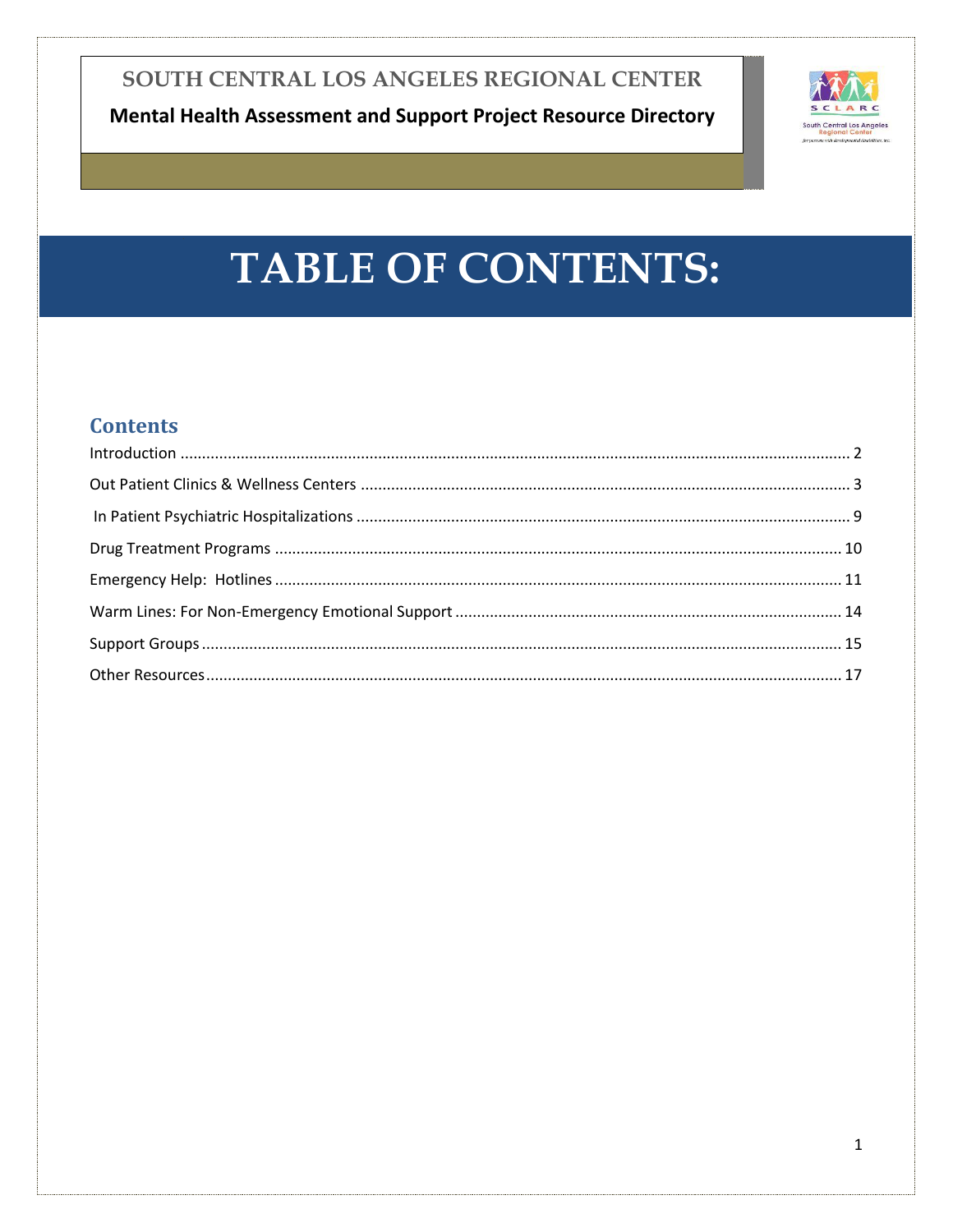

## **TABLE OF CONTENTS:**

### **Contents**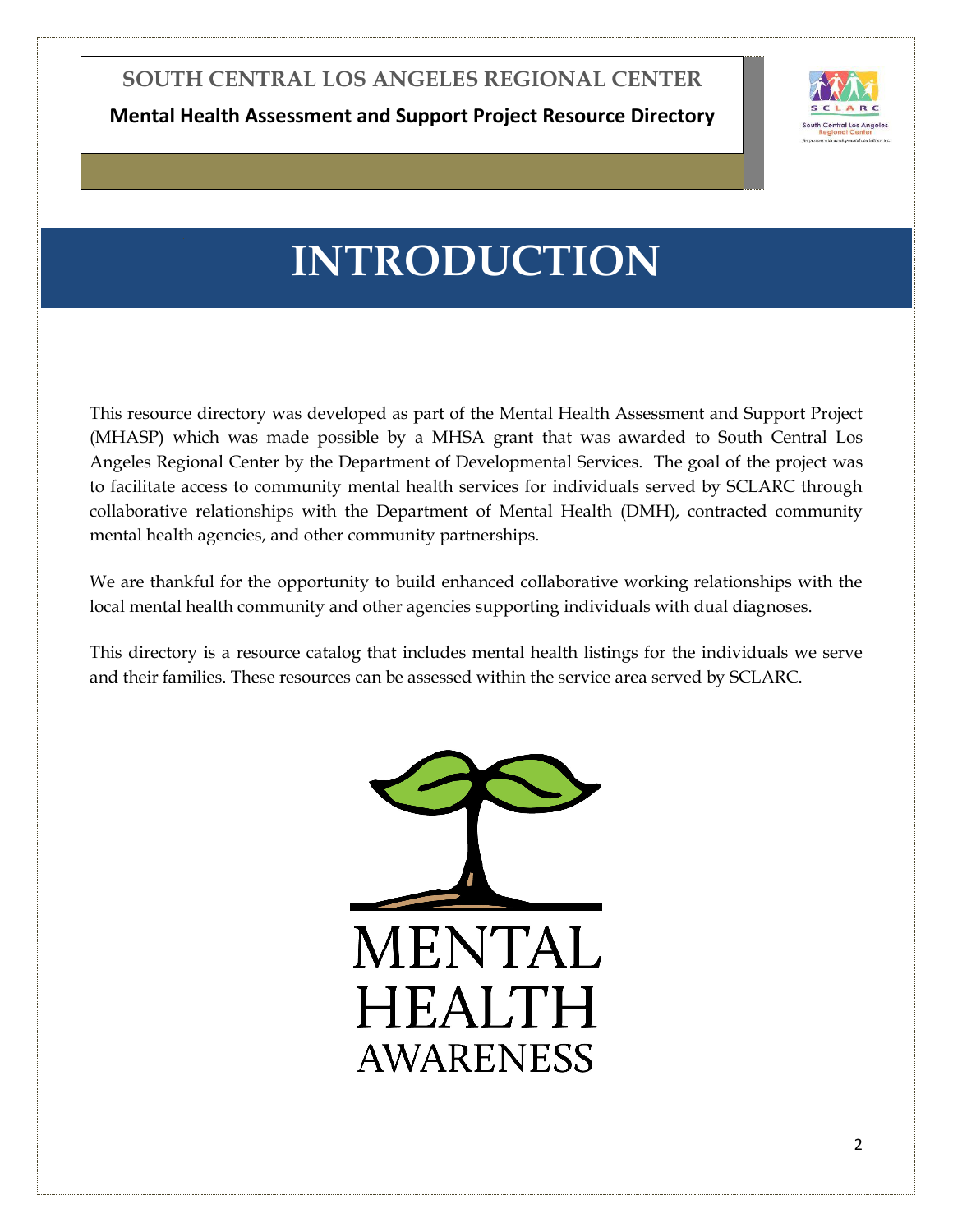**Mental Health Assessment and Support Project Resource Directory**



### **INTRODUCTION**

<span id="page-2-0"></span>This resource directory was developed as part of the Mental Health Assessment and Support Project (MHASP) which was made possible by a MHSA grant that was awarded to South Central Los Angeles Regional Center by the Department of Developmental Services. The goal of the project was to facilitate access to community mental health services for individuals served by SCLARC through collaborative relationships with the Department of Mental Health (DMH), contracted community mental health agencies, and other community partnerships.

We are thankful for the opportunity to build enhanced collaborative working relationships with the local mental health community and other agencies supporting individuals with dual diagnoses.

This directory is a resource catalog that includes mental health listings for the individuals we serve and their families. These resources can be assessed within the service area served by SCLARC.

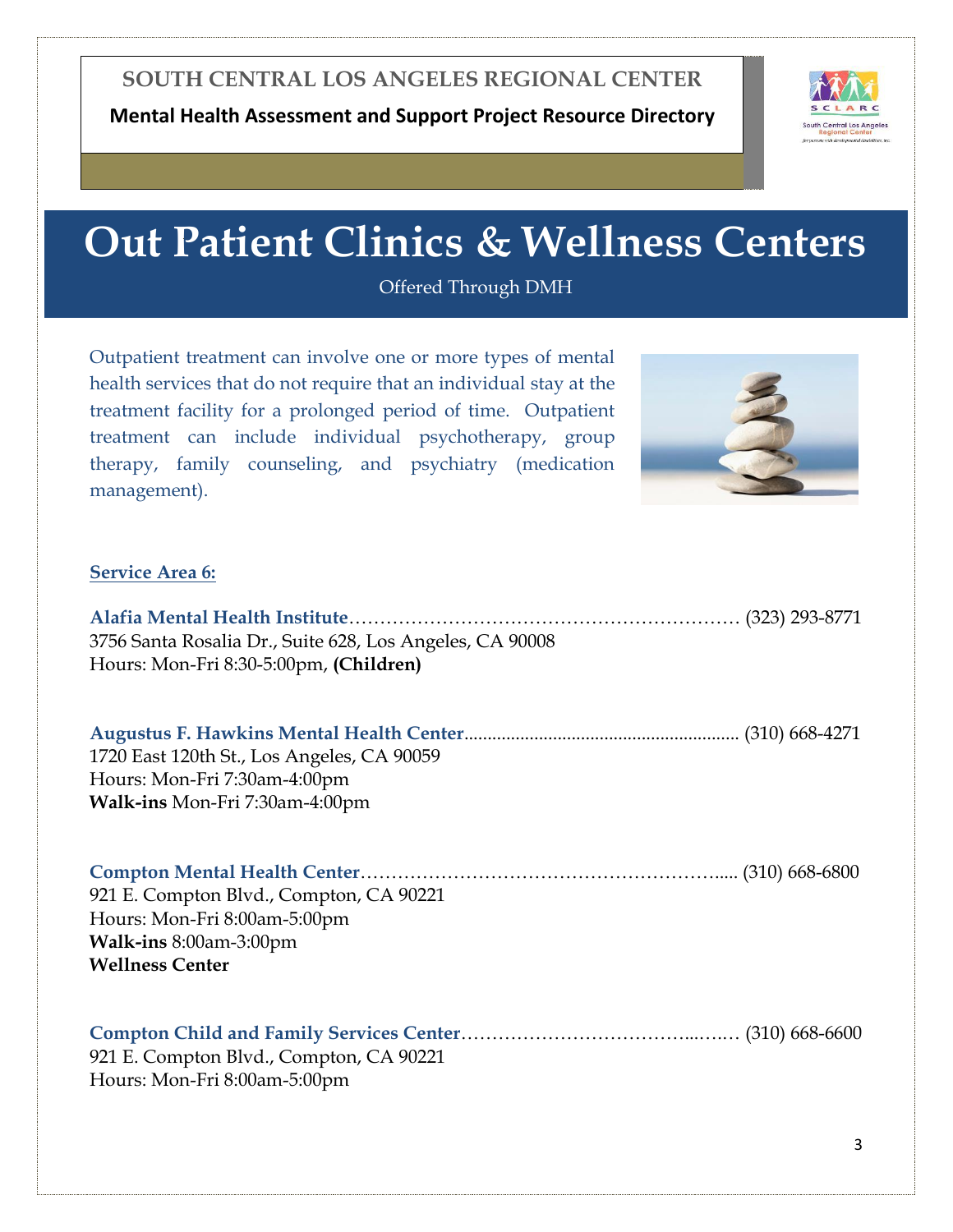

## **Out Patient Clinics & Wellness Centers**

Offered Through DMH

<span id="page-3-0"></span>Outpatient treatment can involve one or more types of mental health services that do not require that an individual stay at the treatment facility for a prolonged period of time. Outpatient treatment can include individual psychotherapy, group therapy, family counseling, and psychiatry (medication management).



#### **Service Area 6:**

| 3756 Santa Rosalia Dr., Suite 628, Los Angeles, CA 90008<br>Hours: Mon-Fri 8:30-5:00pm, (Children)                          |  |
|-----------------------------------------------------------------------------------------------------------------------------|--|
| 1720 East 120th St., Los Angeles, CA 90059<br>Hours: Mon-Fri 7:30am-4:00pm<br>Walk-ins Mon-Fri 7:30am-4:00pm                |  |
| 921 E. Compton Blvd., Compton, CA 90221<br>Hours: Mon-Fri 8:00am-5:00pm<br>Walk-ins 8:00am-3:00pm<br><b>Wellness Center</b> |  |
| 921 E. Compton Blvd., Compton, CA 90221<br>Hours: Mon-Fri 8:00am-5:00pm                                                     |  |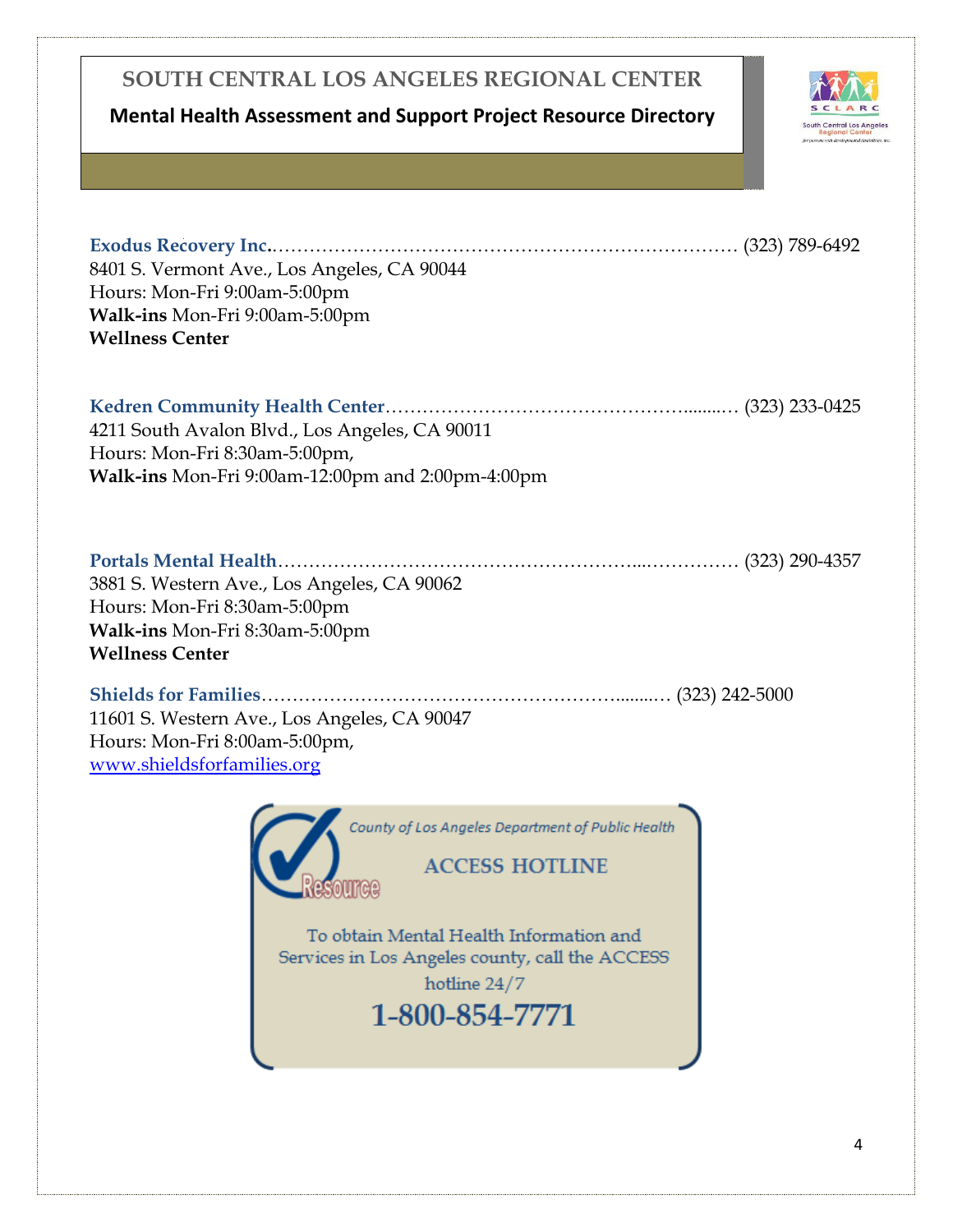### **Mental Health Assessment and Support Project Resource Directory**



**Exodus Recovery Inc.**………………………………………………………………… (323) 789-6492 8401 S. Vermont Ave., Los Angeles, CA 90044 Hours: Mon-Fri 9:00am-5:00pm **Walk-ins** Mon-Fri 9:00am-5:00pm **Wellness Center Kedren Community Health Center**…………………………………………........… (323) 233-0425 4211 South Avalon Blvd., Los Angeles, CA 90011

Hours: Mon-Fri 8:30am-5:00pm, **Walk-ins** Mon-Fri 9:00am-12:00pm and 2:00pm-4:00pm

| 3881 S. Western Ave., Los Angeles, CA 90062 |  |
|---------------------------------------------|--|
| Hours: Mon-Fri 8:30am-5:00pm                |  |
| Walk-ins Mon-Fri 8:30am-5:00pm              |  |
| <b>Wellness Center</b>                      |  |
| Shielde for Families<br>$(323)$ 242-5000    |  |

**Shields for Families**…………………………………………………........… (323) 242-5000 11601 S. Western Ave., Los Angeles, CA 90047 Hours: Mon-Fri 8:00am-5:00pm, <www.shieldsforfamilies.org>

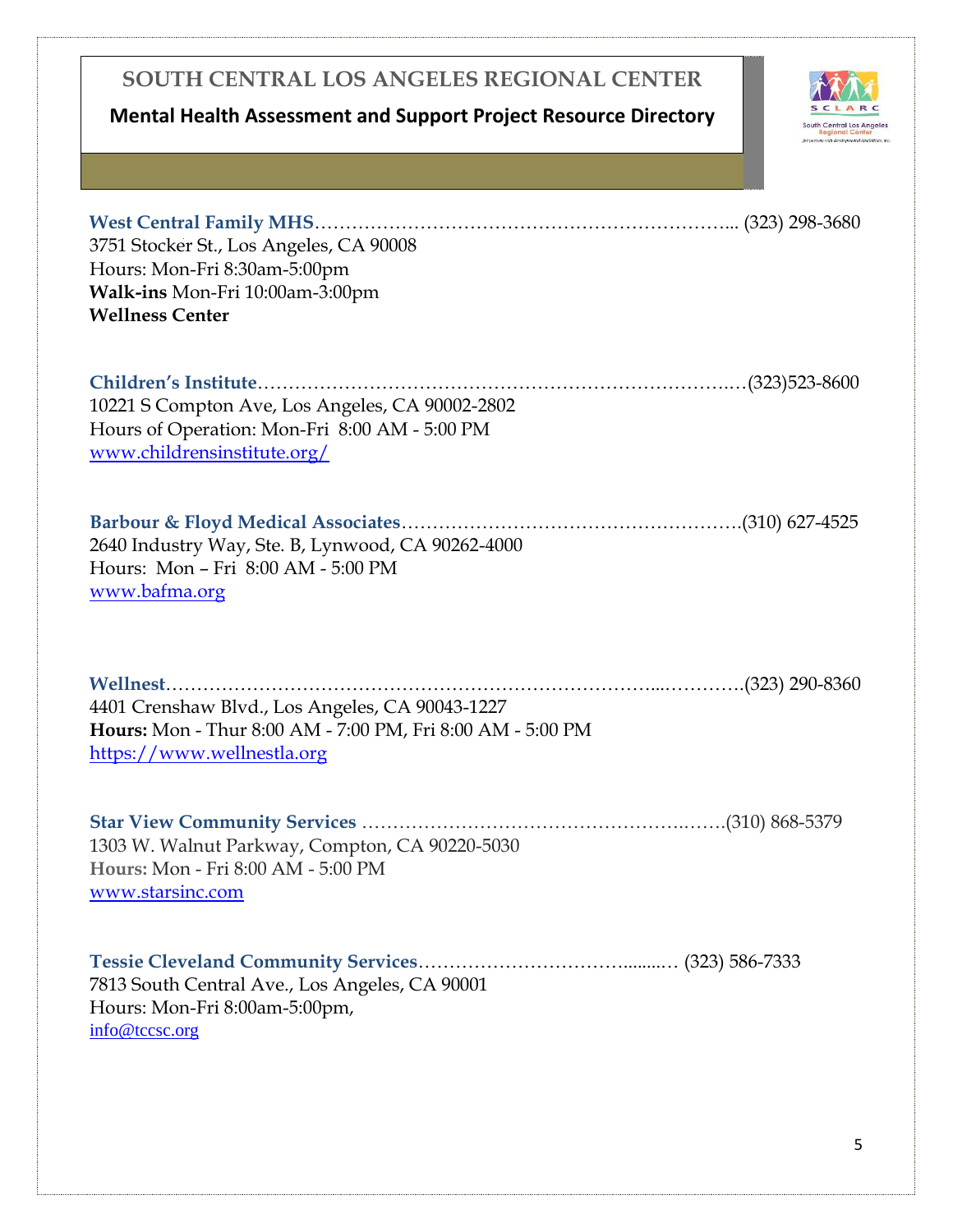### **Mental Health Assessment and Support Project Resource Directory**



| 3751 Stocker St., Los Angeles, CA 90008<br>Hours: Mon-Fri 8:30am-5:00pm<br>Walk-ins Mon-Fri 10:00am-3:00pm<br><b>Wellness Center</b>        |  |
|---------------------------------------------------------------------------------------------------------------------------------------------|--|
| 10221 S Compton Ave, Los Angeles, CA 90002-2802<br>Hours of Operation: Mon-Fri 8:00 AM - 5:00 PM<br>www.childrensinstitute.org/             |  |
| 2640 Industry Way, Ste. B, Lynwood, CA 90262-4000<br>Hours: Mon - Fri 8:00 AM - 5:00 PM<br>www.bafma.org                                    |  |
|                                                                                                                                             |  |
| 4401 Crenshaw Blvd., Los Angeles, CA 90043-1227<br>Hours: Mon - Thur 8:00 AM - 7:00 PM, Fri 8:00 AM - 5:00 PM<br>https://www.wellnestla.org |  |
| 1303 W. Walnut Parkway, Compton, CA 90220-5030<br>Hours: Mon - Fri 8:00 AM - 5:00 PM<br>www.starsinc.com                                    |  |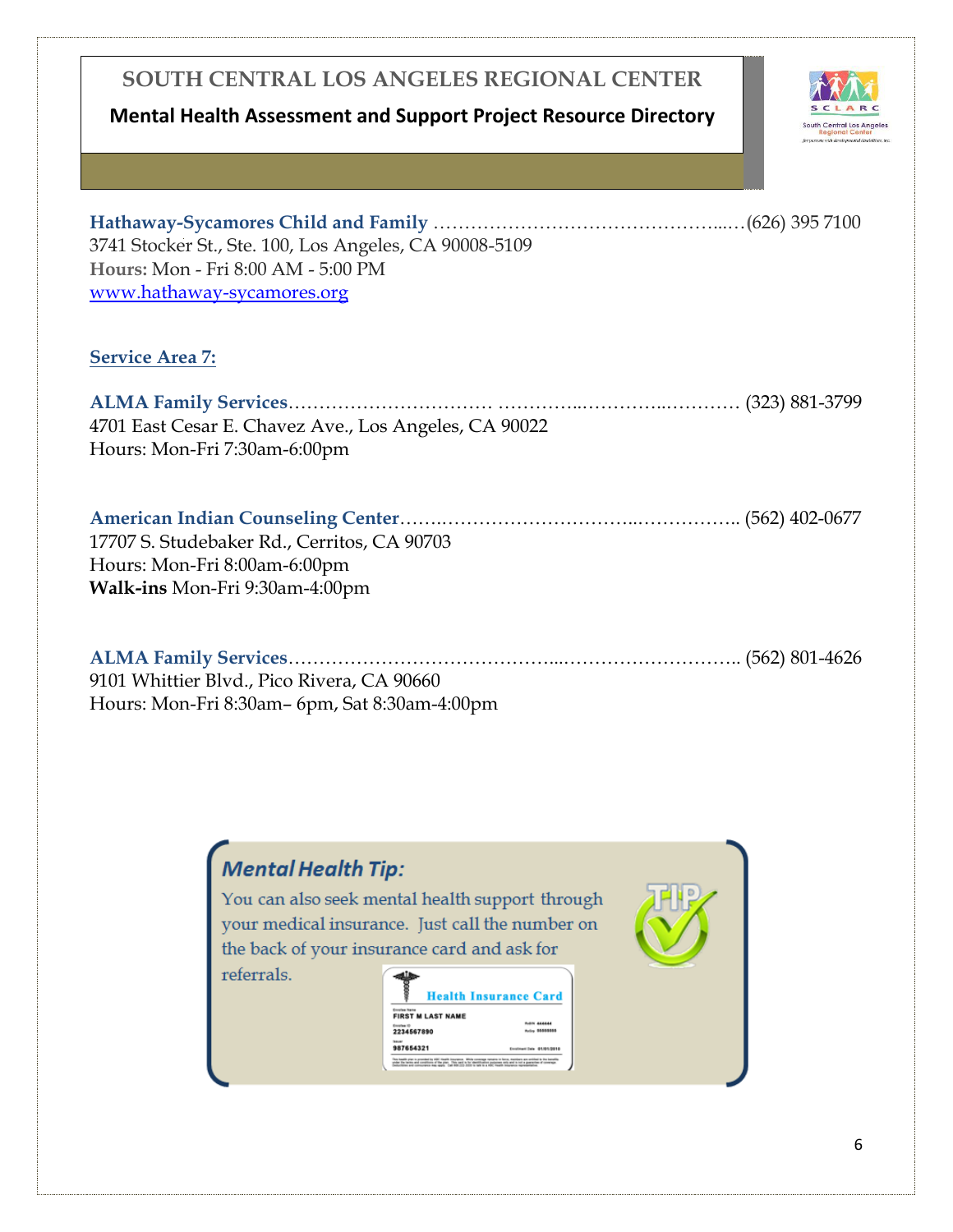### **Mental Health Assessment and Support Project Resource Directory**



| 3741 Stocker St., Ste. 100, Los Angeles, CA 90008-5109<br>Hours: Mon - Fri 8:00 AM - 5:00 PM<br>www.hathaway-sycamores.org |
|----------------------------------------------------------------------------------------------------------------------------|
| <b>Service Area 7:</b>                                                                                                     |
| 4701 East Cesar E. Chavez Ave., Los Angeles, CA 90022<br>Hours: Mon-Fri 7:30am-6:00pm                                      |
| 17707 S. Studebaker Rd., Cerritos, CA 90703<br>Hours: Mon-Fri 8:00am-6:00pm<br>Walk-ins Mon-Fri 9:30am-4:00pm              |
| 9101 Whittier Blvd., Pico Rivera, CA 90660<br>Hours: Mon-Fri 8:30am- 6pm, Sat 8:30am-4:00pm                                |

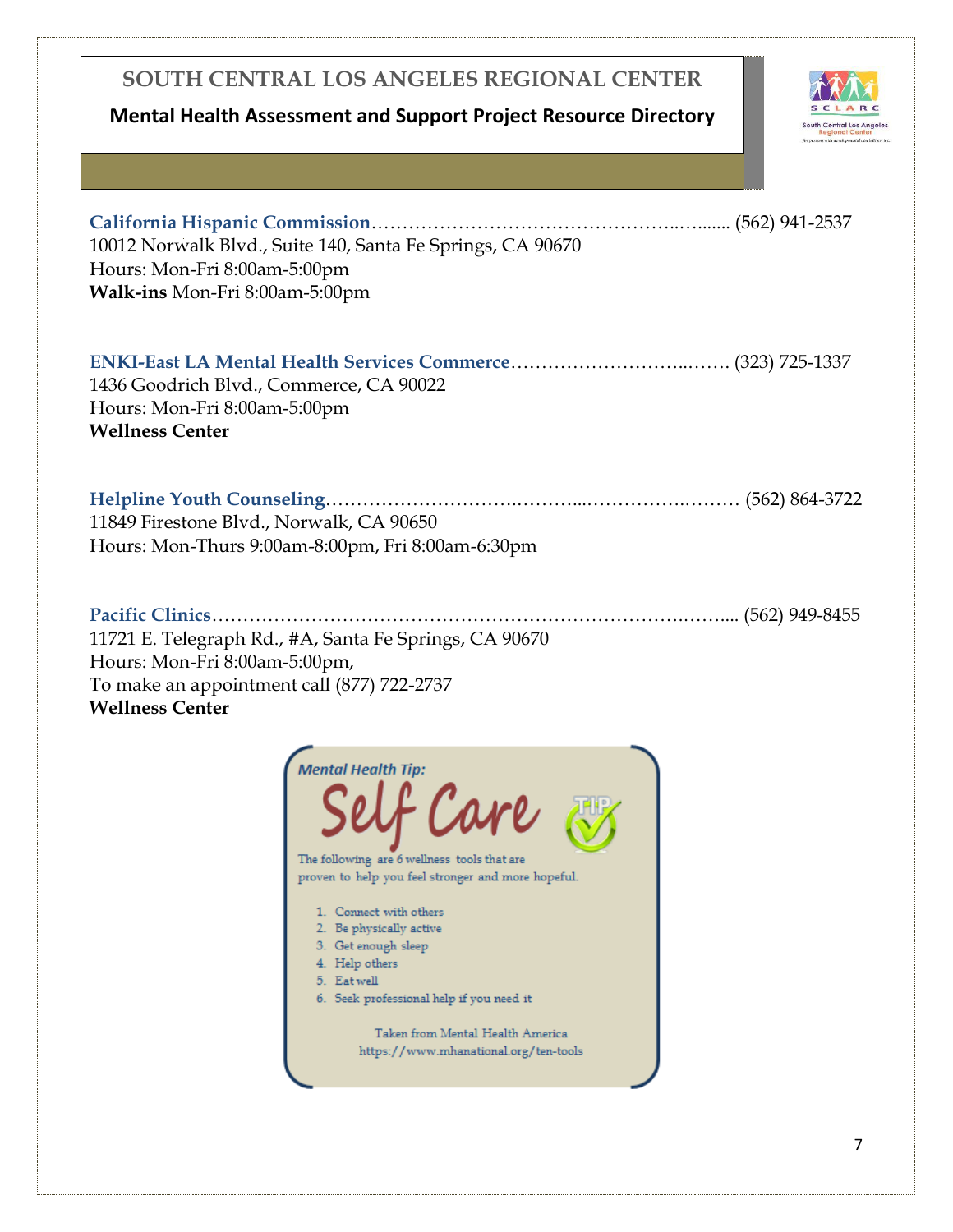### **Mental Health Assessment and Support Project Resource Directory**



| 10012 Norwalk Blvd., Suite 140, Santa Fe Springs, CA 90670<br>Hours: Mon-Fri 8:00am-5:00pm<br>Walk-ins Mon-Fri 8:00am-5:00pm                                                                                                                                                                                                                                                        |  |
|-------------------------------------------------------------------------------------------------------------------------------------------------------------------------------------------------------------------------------------------------------------------------------------------------------------------------------------------------------------------------------------|--|
| 1436 Goodrich Blvd., Commerce, CA 90022<br>Hours: Mon-Fri 8:00am-5:00pm<br><b>Wellness Center</b>                                                                                                                                                                                                                                                                                   |  |
| 11849 Firestone Blvd., Norwalk, CA 90650<br>Hours: Mon-Thurs 9:00am-8:00pm, Fri 8:00am-6:30pm                                                                                                                                                                                                                                                                                       |  |
| Pacific Clinics<br>11721 E. Telegraph Rd., #A, Santa Fe Springs, CA 90670<br>Hours: Mon-Fri 8:00am-5:00pm,<br>To make an appointment call (877) 722-2737<br><b>Wellness Center</b>                                                                                                                                                                                                  |  |
| <b>Mental Health Tip:</b><br>Self Care &<br>The following are 6 wellness tools that are<br>proven to help you feel stronger and more hopeful.<br>1. Connect with others<br>2. Be physically active<br>3. Get enough sleep<br>4. Help others<br>5. Eat well<br>6. Seek professional help if you need it<br>Taken from Mental Health America<br>https://www.mhanational.org/ten-tools |  |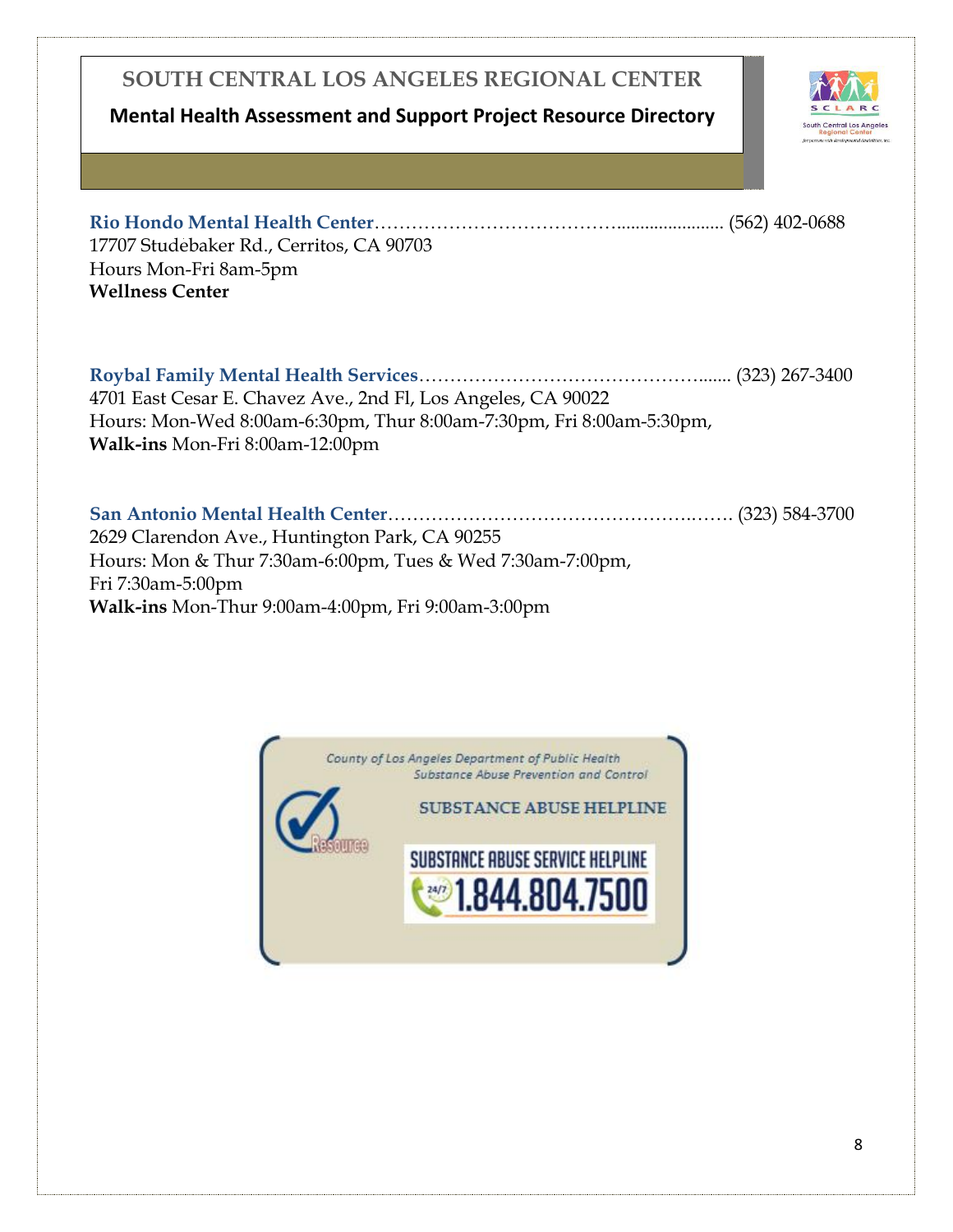### **Mental Health Assessment and Support Project Resource Directory**



**Rio Hondo Mental Health Center**…………………………………....................... (562) 402-0688 17707 Studebaker Rd., Cerritos, CA 90703 Hours Mon-Fri 8am-5pm **Wellness Center**

**Roybal Family Mental Health Services**………………………………………....... (323) 267-3400 4701 East Cesar E. Chavez Ave., 2nd Fl, Los Angeles, CA 90022 Hours: Mon-Wed 8:00am-6:30pm, Thur 8:00am-7:30pm, Fri 8:00am-5:30pm, **Walk-ins** Mon-Fri 8:00am-12:00pm

**San Antonio Mental Health Center**………………………………………….……. (323) 584-3700 2629 Clarendon Ave., Huntington Park, CA 90255 Hours: Mon & Thur 7:30am-6:00pm, Tues & Wed 7:30am-7:00pm, Fri 7:30am-5:00pm **Walk-ins** Mon-Thur 9:00am-4:00pm, Fri 9:00am-3:00pm

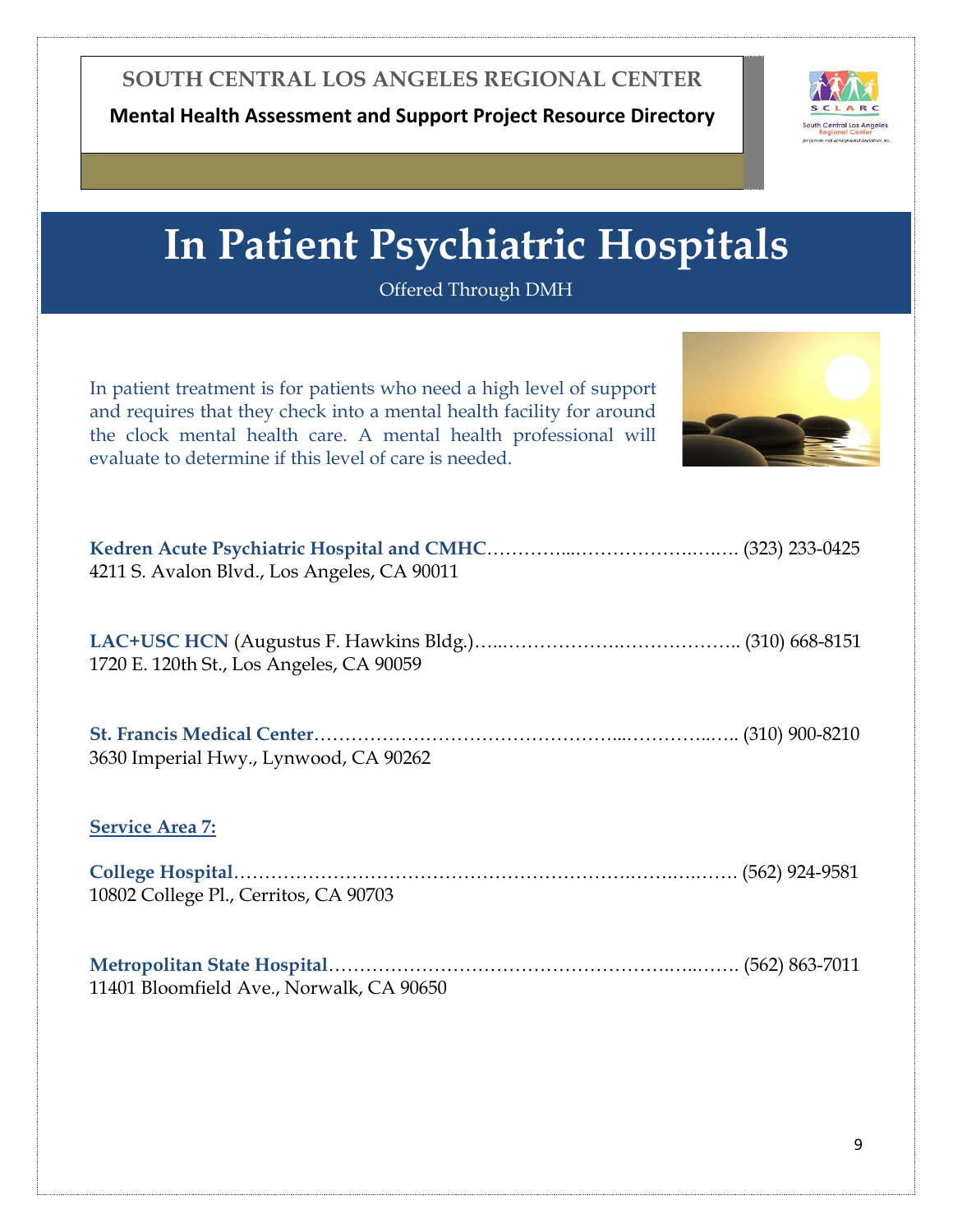

## **In Patient Psychiatric Hospitals**

Offered Through DMH

<span id="page-9-0"></span>

| In patient treatment is for patients who need a high level of support<br>and requires that they check into a mental health facility for around<br>the clock mental health care. A mental health professional will<br>evaluate to determine if this level of care is needed. |
|-----------------------------------------------------------------------------------------------------------------------------------------------------------------------------------------------------------------------------------------------------------------------------|
| 4211 S. Avalon Blvd., Los Angeles, CA 90011                                                                                                                                                                                                                                 |
| 1720 E. 120th St., Los Angeles, CA 90059                                                                                                                                                                                                                                    |
| 3630 Imperial Hwy., Lynwood, CA 90262                                                                                                                                                                                                                                       |
| <b>Service Area 7:</b>                                                                                                                                                                                                                                                      |
| 10802 College Pl., Cerritos, CA 90703                                                                                                                                                                                                                                       |
| 11401 Bloomfield Ave., Norwalk, CA 90650                                                                                                                                                                                                                                    |
|                                                                                                                                                                                                                                                                             |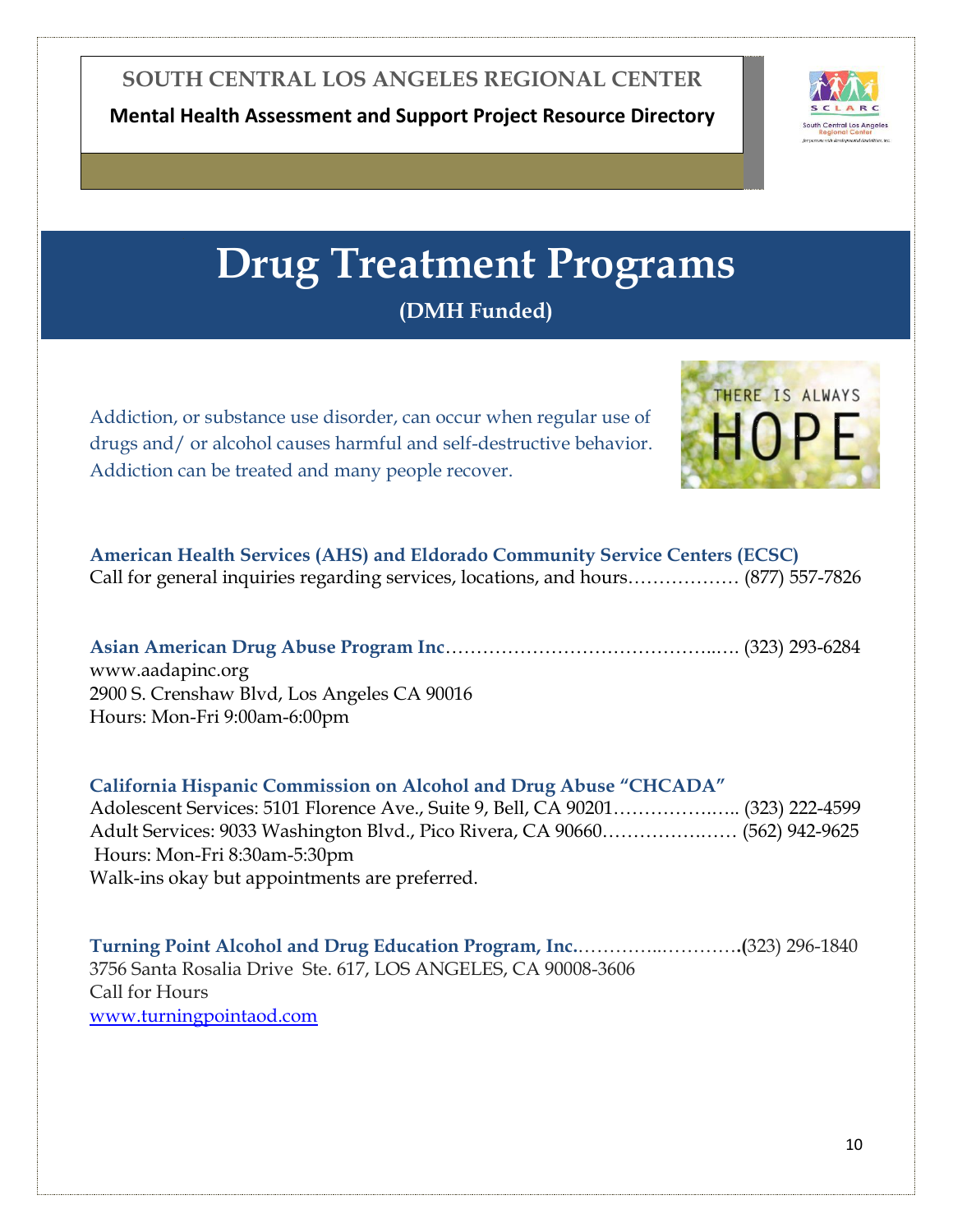

## **Drug Treatment Programs**

**(DMH Funded)**

<span id="page-10-0"></span>Addiction, or substance use disorder, can occur when regular use of drugs and/ or alcohol causes harmful and self-destructive behavior. Addiction can be treated and many people recover.



| <b>American Health Services (AHS) and Eldorado Community Service Centers (ECSC)</b> |  |
|-------------------------------------------------------------------------------------|--|
| Call for general inquiries regarding services, locations, and hours (877) 557-7826  |  |

**Asian American Drug Abuse Program Inc**……………………………………..…. (323) 293-6284 www.aadapinc.org 2900 S. Crenshaw Blvd, Los Angeles CA 90016 Hours: Mon-Fri 9:00am-6:00pm

**California Hispanic Commission on Alcohol and Drug Abuse "CHCADA"**  Adolescent Services: 5101 Florence Ave., Suite 9, Bell, CA 90201…………….….. (323) 222-4599 Adult Services: 9033 Washington Blvd., Pico Rivera, CA 90660…………….…… (562) 942-9625 Hours: Mon-Fri 8:30am-5:30pm Walk-ins okay but appointments are preferred.

**Turning Point Alcohol and Drug Education Program, Inc.**…………..…………**.(**323) 296-1840 3756 Santa Rosalia Drive Ste. 617, LOS ANGELES, CA 90008-3606 Call for Hours <www.turningpointaod.com>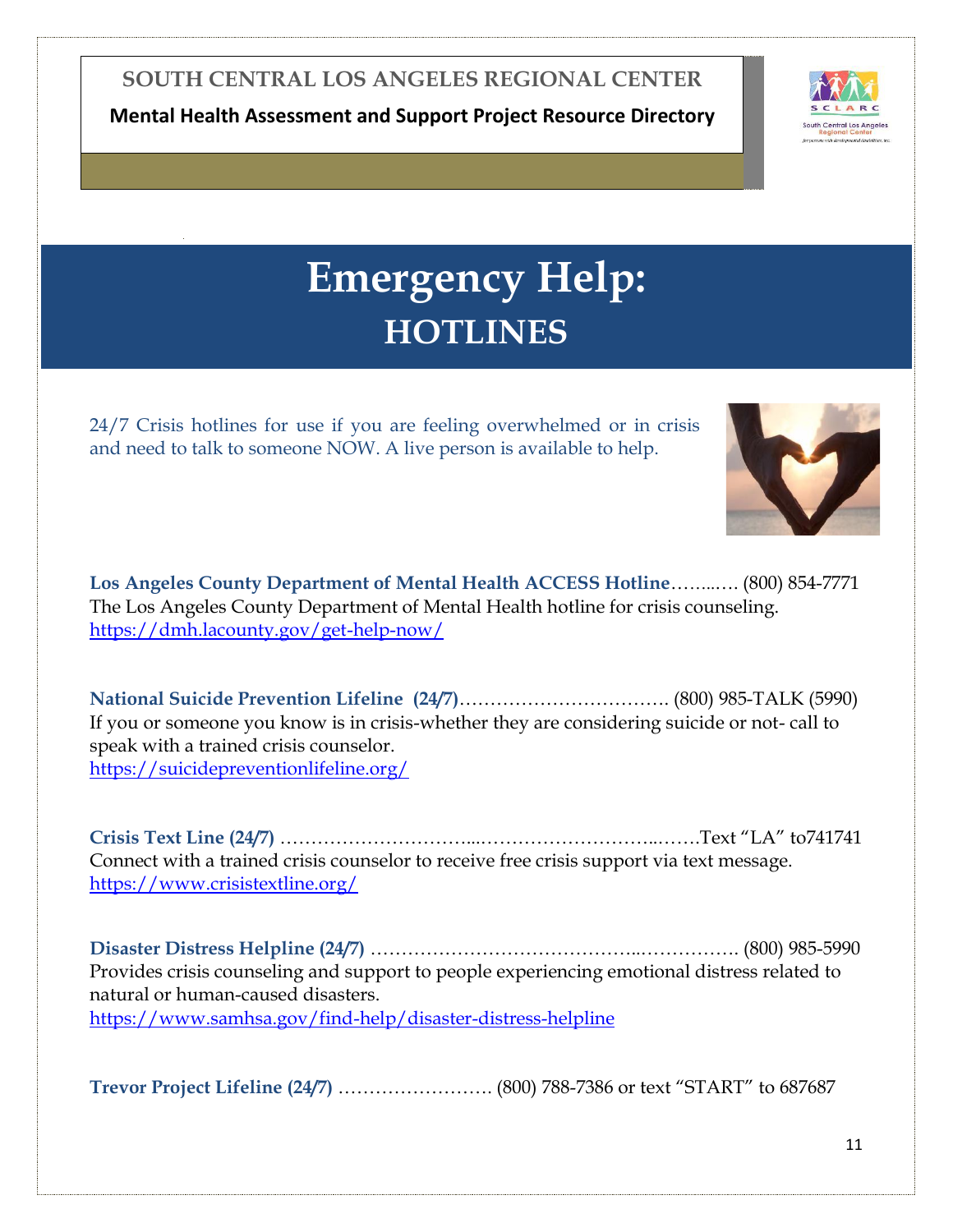**Mental Health Assessment and Support Project Resource Directory**



## **Emergency Help: HOTLINES**

<span id="page-11-0"></span>24/7 Crisis hotlines for use if you are feeling overwhelmed or in crisis and need to talk to someone NOW. A live person is available to help.



**Los Angeles County Department of Mental Health ACCESS Hotline**……..…. (800) 854-7771 The Los Angeles County Department of Mental Health hotline for crisis counseling. <https://dmh.lacounty.gov/get-help-now/>

**National Suicide Prevention Lifeline (24/7)**……………………………. (800) 985-TALK (5990) If you or someone you know is in crisis-whether they are considering suicide or not- call to speak with a trained crisis counselor. [https://suicidepreventionlifeline.org/](file://///fs1/homedirs$/CL237/My%20Documents/Laurie%20B/If%20you%20know%20someone%20who%20is%20in%20crisis-whether%20they%20are%20considering%20suicide%20or%20not-%20call%20to%20speak%20with%20a%20trained%20crisis%20counselorhttps:/suicidepreventionlifeline.org/)

**Crisis Text Line (24/7)** …………………………...………………………..…….Text "LA" to741741 Connect with a trained crisis counselor to receive free crisis support via text message. <https://www.crisistextline.org/>

**[Disaster Distress Helpline \(24/7\)](file:///C:/Users/CL237/AppData/Local/Microsoft/Windows/INetCache/Content.Outlook/E80W2WIT/Provides%20support%20to%20LGBTQ%20youths%20in%20crisis%20or%20in%20need%20of%20a%20safe%20and%20judgement-free%20place%20to%20talk)** ……………………………………..……………. (800) 985-5990 Provides crisis counseling and support to people experiencing emotional distress related to natural or human-caused disasters. <https://www.samhsa.gov/find-help/disaster-distress-helpline>

**[Trevor Project Lifeline \(24/7\)](https://www.thetrevorproject.org/get-help-now/)** ……………………. (800) 788-7386 or text "START" to 687687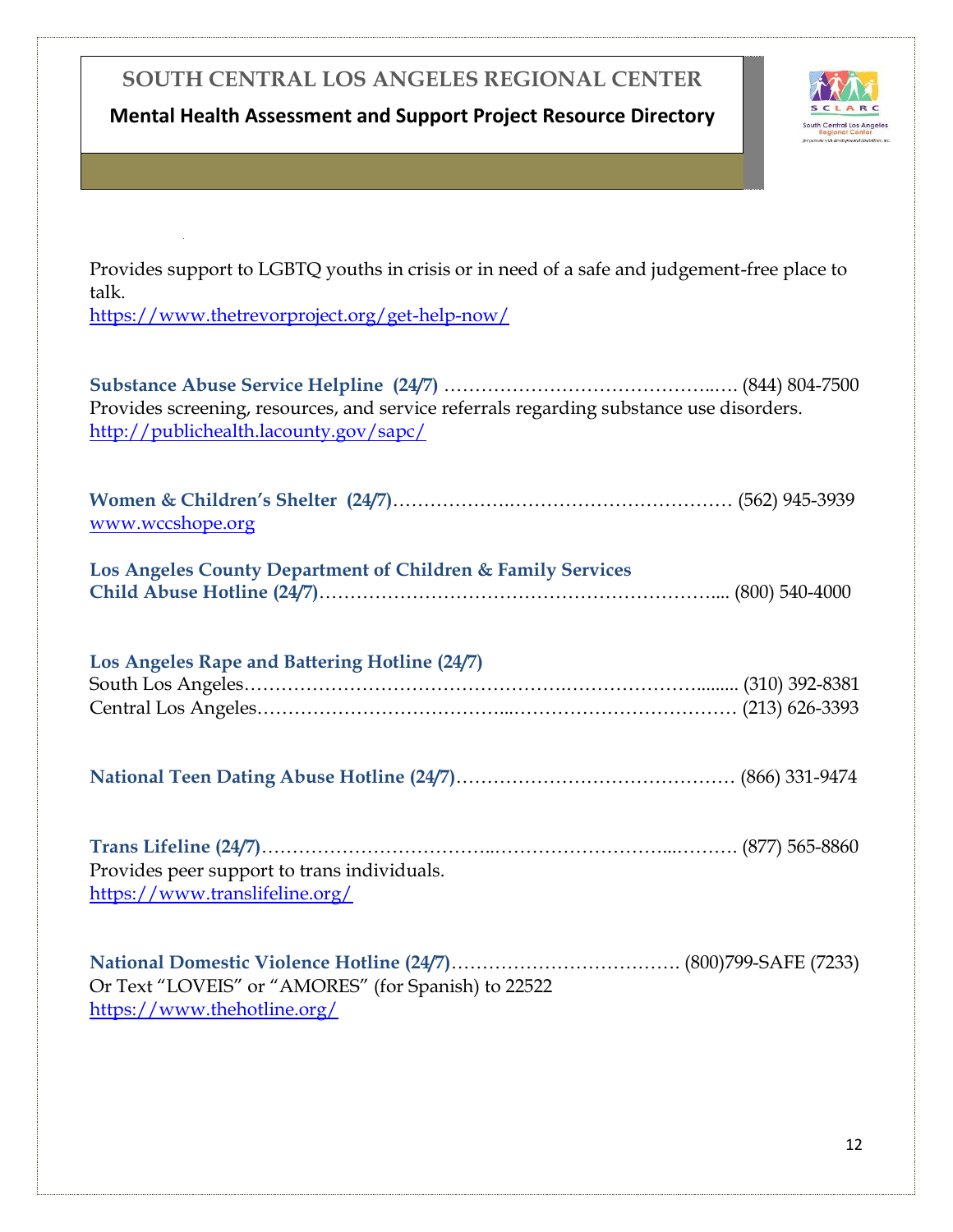**Mental Health Assessment and Support Project Resource Directory**



Provides support to LGBTQ youths in crisis or in need of a safe and judgement-free place to talk.

<https://www.thetrevorproject.org/get-help-now/>

**[Substance Abuse Service Helpline \(24/7\)](http://publichealth.lacounty.gov/sapc/)** ……………………………………..…. (844) 804-7500 Provides screening, resources, and service referrals regarding substance use disorders. <http://publichealth.lacounty.gov/sapc/> **Women & Children's Shelter (24/7)**……………….……………………………… (562) 945-3939 [www.wccshope.org](www.wccshope.org%20) **Los Angeles County Department of Children & Family Services Child Abuse Hotline (24/7)**……………………………………………………….... (800) 540-4000 **Los Angeles Rape and Battering Hotline (24/7)** South Los Angeles…………………………………………….…………………......... (310) 392-8381 Central Los Angeles…………………………………...……………………………… (213) 626-3393 **National Teen Dating Abuse Hotline (24/7)**……………………………………… (866) 331-9474 **[Trans Lifeline](https://www.translifeline.org/) (24/7)**………………………………..………………………...………. (877) 565-8860 Provides peer support to trans individuals. <https://www.translifeline.org/> **[National Domestic Violence Hotline \(24/7\)](https://www.thehotline.org/)**………………………………. (800)799-SAFE (7233) Or Text "LOVEIS" or "AMORES" (for Spanish) to 22522 <https://www.thehotline.org/>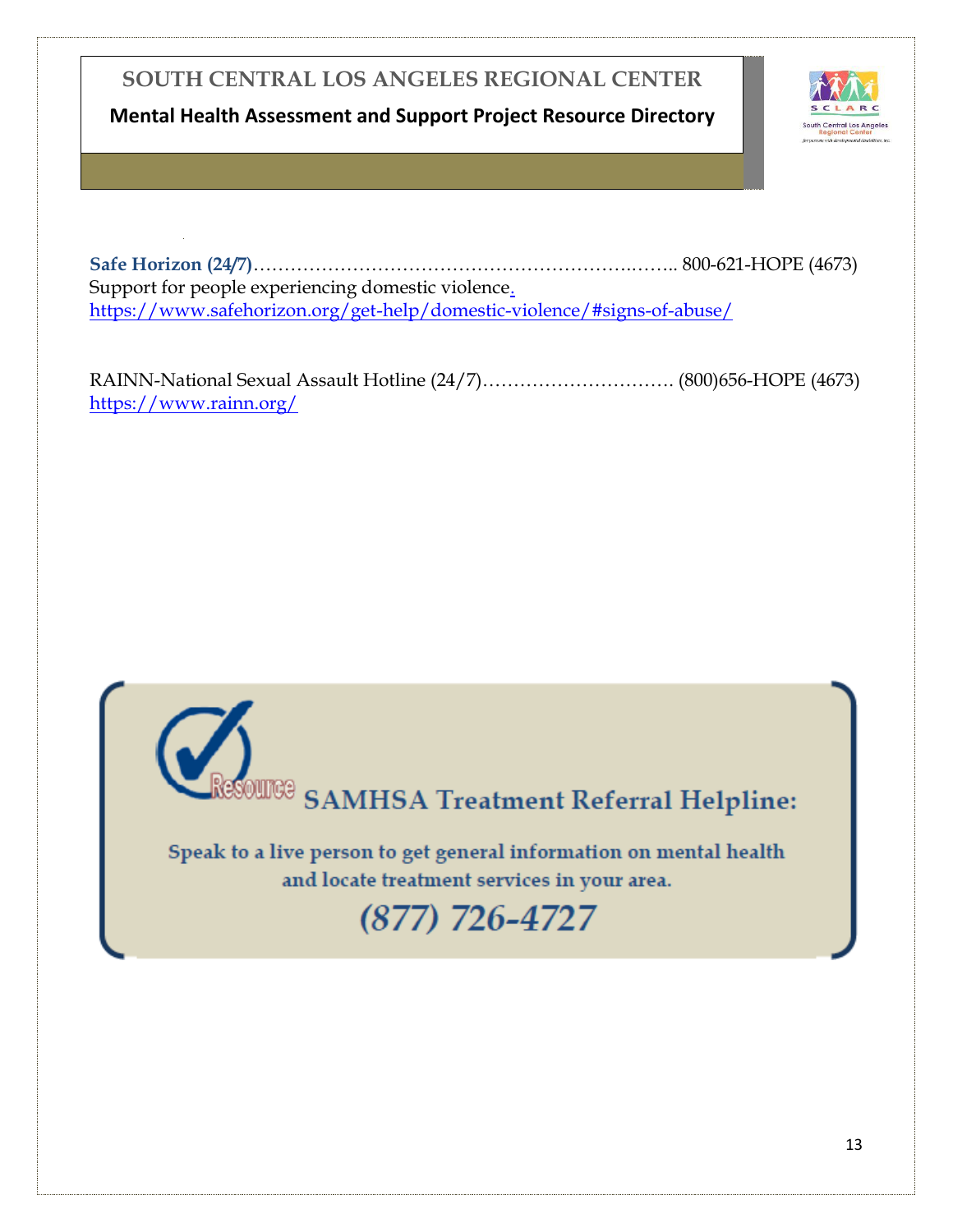**Mental Health Assessment and Support Project Resource Directory**



**[Safe Horizon \(24/7\)](https://www.safehorizon.org/get-help/domestic-violence/#signs-of-abuse/)**…………………………………………………….…….. [800-621-HOPE \(4673\)](tel:+18006214673) Support for people experiencing domestic violence. [https://www.safehorizon.org/get-help/domestic-violence/#signs-of-abuse/](.%20https:/www.safehorizon.org/get-help/domestic-violence/#signs-of-abuse/)

[RAINN-National Sexual Assault Hotline \(24/7\)](file:///C:/Users/CL237/AppData/Local/Microsoft/Windows/INetCache/Content.Outlook/E80W2WIT/.%20%20https:/www.rainn.org/)…………………………. (800)656-HOPE (4673) <https://www.rainn.org/>

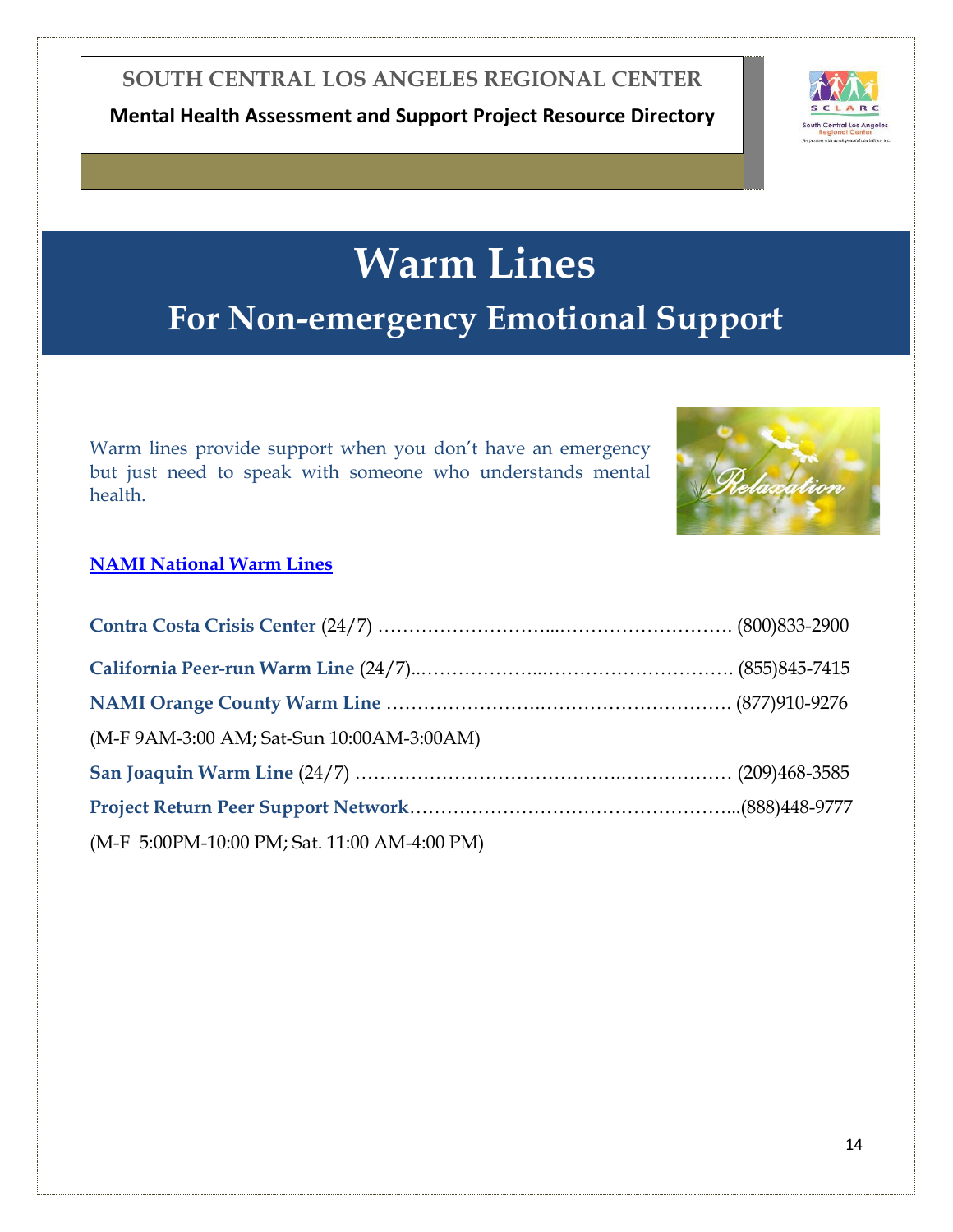**Mental Health Assessment and Support Project Resource Directory**



## **Warm Lines For Non-emergency Emotional Support**

<span id="page-14-0"></span>Warm lines provide support when you don't have an emergency but just need to speak with someone who understands mental health.



### **[NAMI National Warm Lines](https://www.nami.org/NAMI/media/NAMI-Media/BlogImageArchive/2020/NAMI-National-HelpLine-WarmLine-Directory-3-11-20.pdf)**

| (M-F 9AM-3:00 AM; Sat-Sun 10:00AM-3:00AM)    |  |
|----------------------------------------------|--|
|                                              |  |
|                                              |  |
| (M-F 5:00PM-10:00 PM; Sat. 11:00 AM-4:00 PM) |  |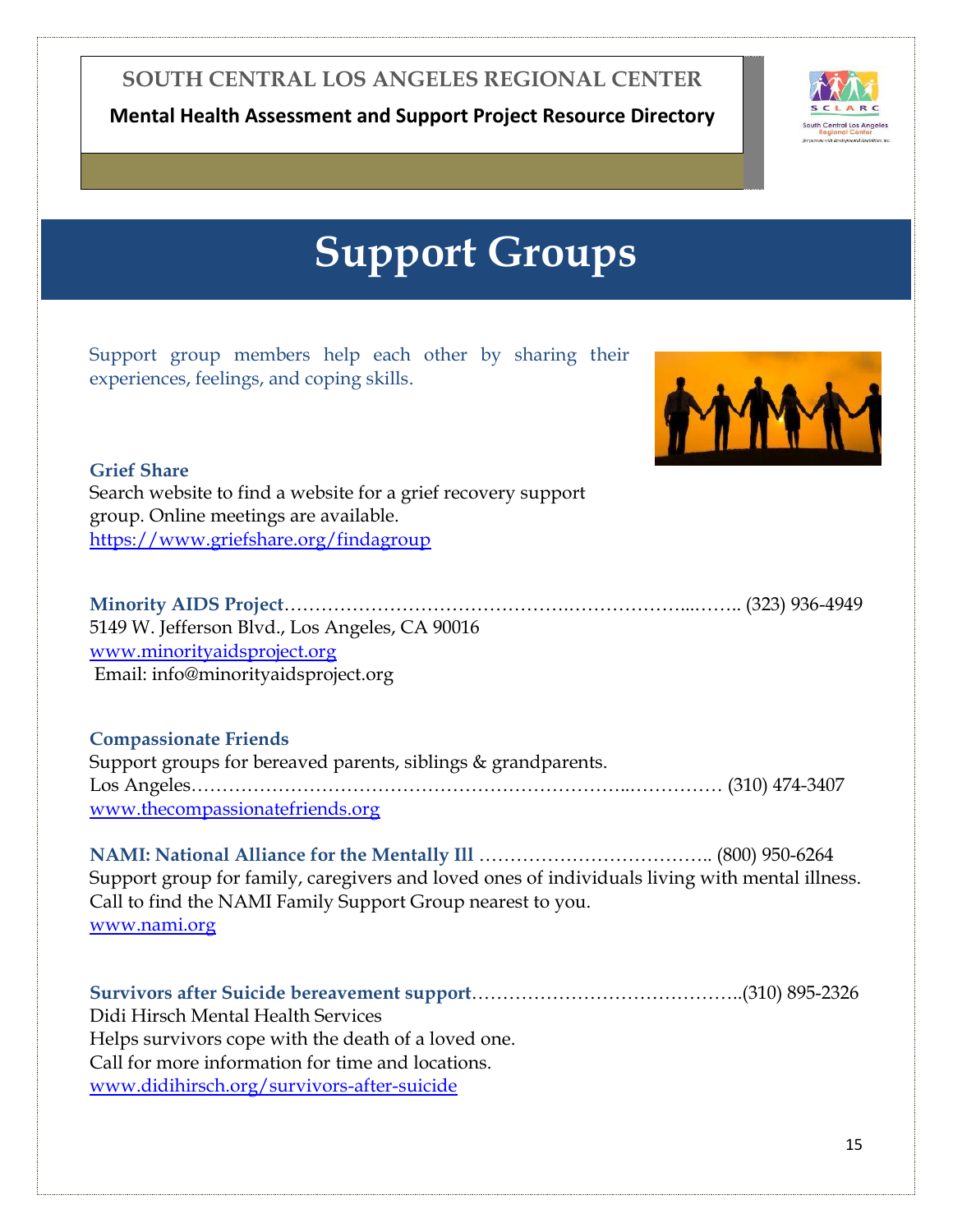**Mental Health Assessment and Support Project Resource Directory**



## **Support Groups**

<span id="page-15-0"></span>Support group members help each other by sharing their experiences, feelings, and coping skills.



### **Grief Share** Search website to find a website for a grief recovery support group. Online meetings are available. <https://www.griefshare.org/findagroup>

**Minority AIDS Project**……………………………………….………………...…….. (323) 936-4949 5149 W. Jefferson Blvd., Los Angeles, CA 90016 [www.minorityaidsproject.org](www.minorityaidsproject.org%20) Email: info@minorityaidsproject.org

#### **Compassionate Friends**

Support groups for bereaved parents, siblings & grandparents. Los Angeles……………………………………………………………..…………… (310) 474-3407 [www.thecompassionatefriends.org](www.thecompassionatefriends.org%20)

**NAMI: National Alliance for the Mentally Ill** ……………………………….. (800) 950-6264 Support group for family, caregivers and loved ones of individuals living with mental illness. Call to find the NAMI Family Support Group nearest to you. [www.nami.org](www.nami.org%20)

**Survivors after Suicide bereavement support**……………………………………..(310) 895-2326 Didi Hirsch Mental Health Services Helps survivors cope with the death of a loved one. Call for more information for time and locations. <www.didihirsch.org/survivors-after-suicide>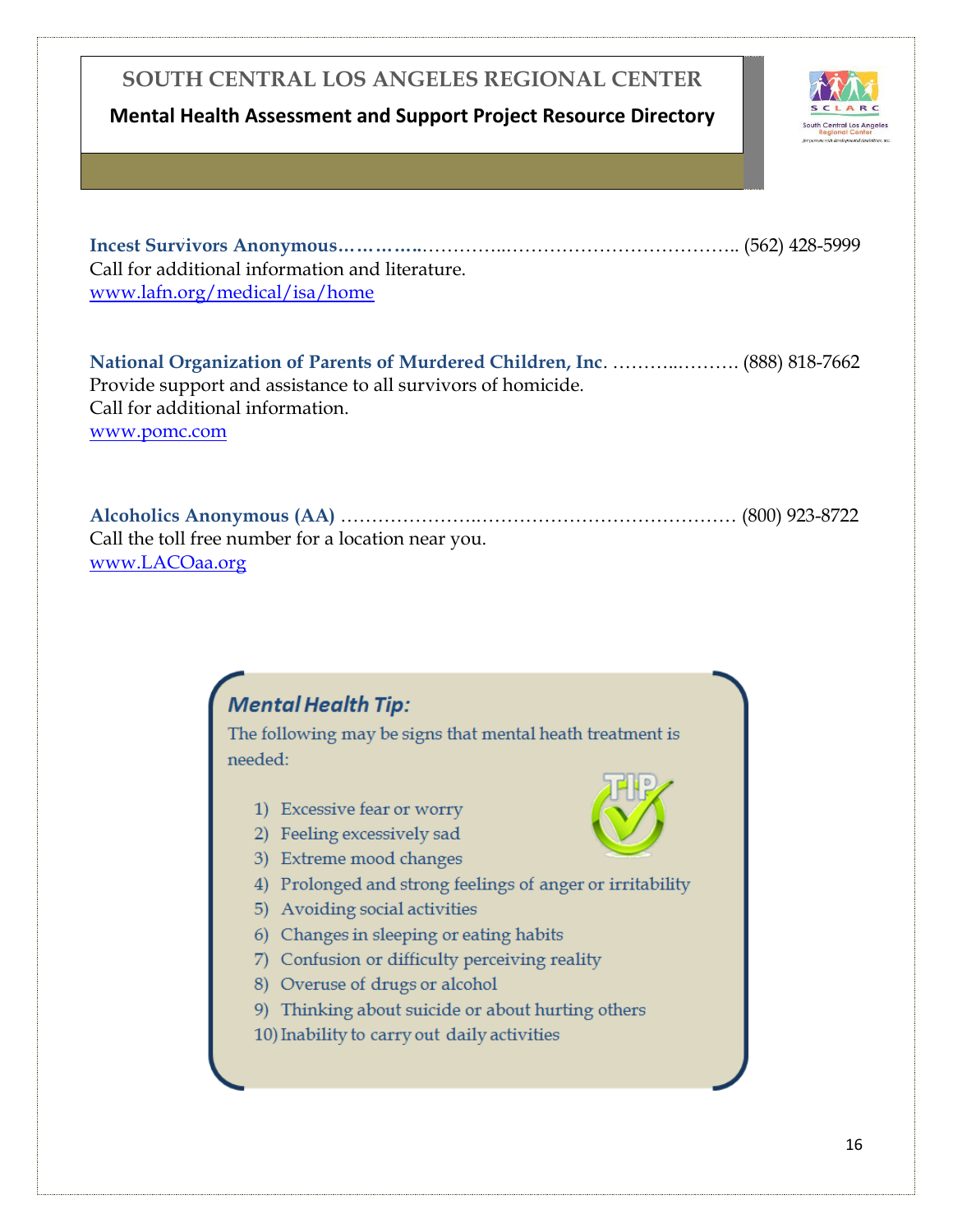### **Mental Health Assessment and Support Project Resource Directory**



**Incest Survivors Anonymous…………..**…………..……………………………….. (562) 428-5999 Call for additional information and literature. <www.lafn.org/medical/isa/home>

**National Organization of Parents of Murdered Children, Inc**. ………..………. (888) 818-7662 Provide support and assistance to all survivors of homicide. Call for additional information. [www.pomc.com](www.pomc.com%20)

**Alcoholics Anonymous (AA)** ………………….…………………………………… (800) 923-8722 Call the toll free number for a location near you. [www.LACOaa.org](www.LACOaa.org%20)

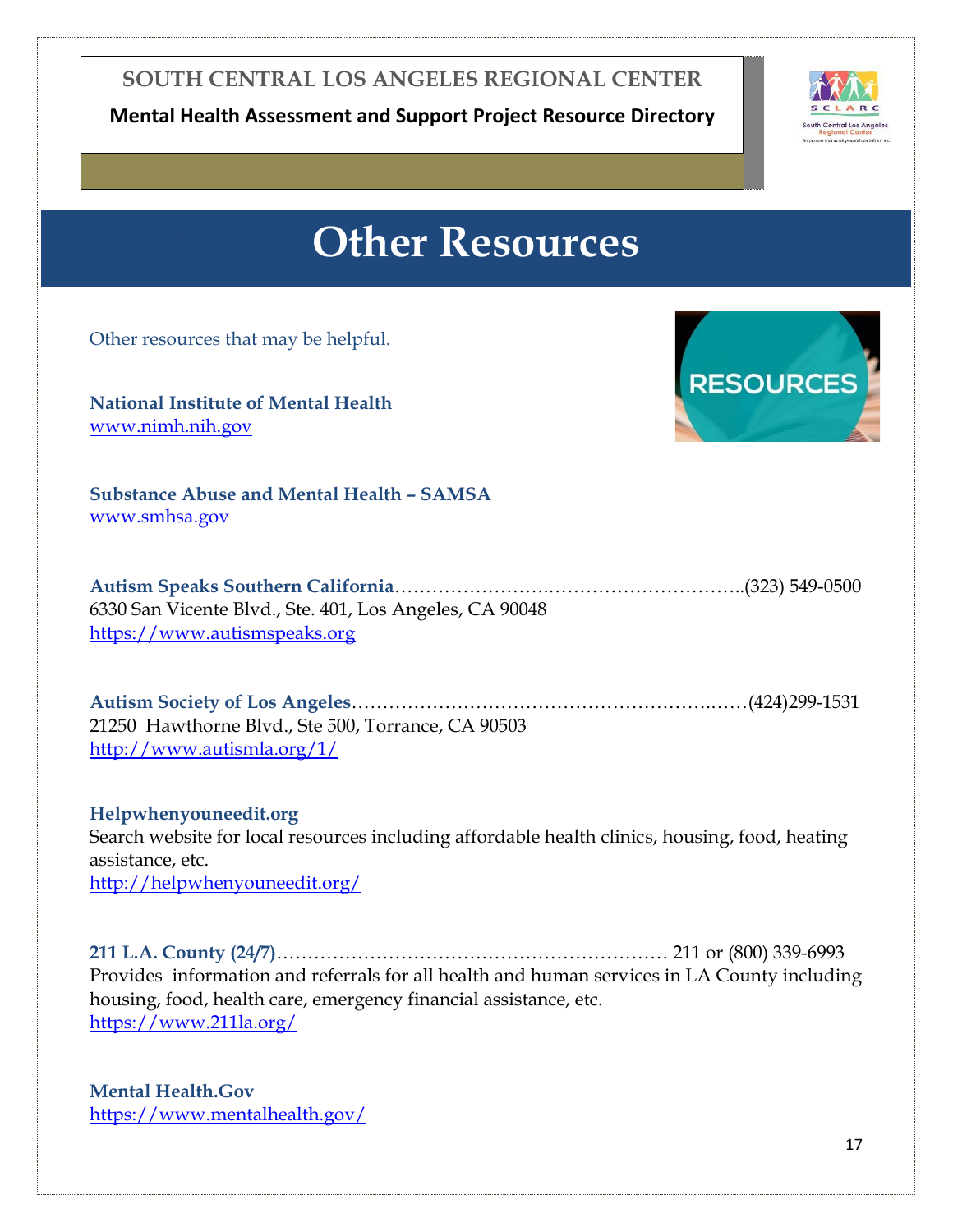**Mental Health Assessment and Support Project Resource Directory**



### **Other Resources**

<span id="page-17-0"></span>Other resources that may be helpful.

**National Institute of Mental Health**  [www.nimh.nih.gov](www.nimh.nih.gov%20)



**Substance Abuse and Mental Health – SAMSA**  [www.smhsa.gov](www.smhsa.gov%20)

**Autism Speaks Southern California**…………………….…………………………..(323) 549-0500 6330 San Vicente Blvd., Ste. 401, Los Angeles, CA 90048 [https://www.autismspeaks.org](https://www.autismspeaks.org/)

**Autism Society of Los Angeles**………………………………………………….……(424)299-1531 21250 Hawthorne Blvd., Ste 500, Torrance, CA 90503 <http://www.autismla.org/1/>

**Helpwhenyouneedit.org** Search website for local resources including affordable health clinics, housing, food, heating assistance, etc. <http://helpwhenyouneedit.org/>

**211 L.A. County (24/7)**……………………………………………………… 211 or (800) 339-6993 Provides information and referrals for all health and human services in LA County including housing, food, health care, emergency financial assistance, etc. <https://www.211la.org/>

**Mental Health.Gov** <https://www.mentalhealth.gov/>